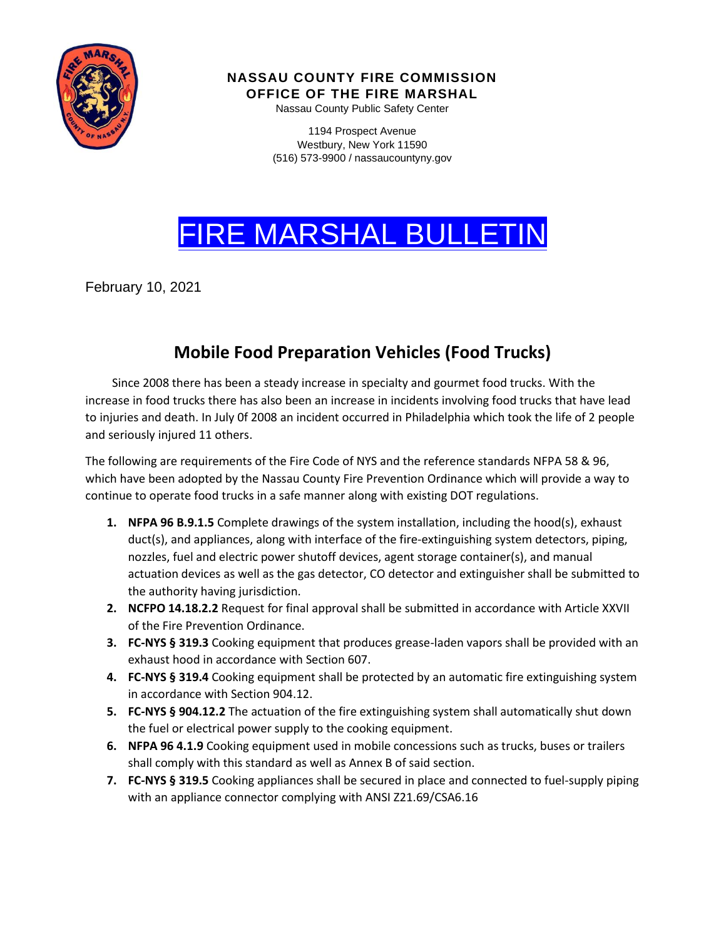

**NASSAU COUNTY FIRE COMMISSION** 

**OFFICE OF THE FIRE MARSHAL**

Nassau County Public Safety Center

1194 Prospect Avenue Westbury, New York 11590 (516) 573-9900 / nassaucountyny.gov

## FIRE MARSHAL BULLETIN

February 10, 2021

## **Mobile Food Preparation Vehicles (Food Trucks)**

 Since 2008 there has been a steady increase in specialty and gourmet food trucks. With the increase in food trucks there has also been an increase in incidents involving food trucks that have lead to injuries and death. In July 0f 2008 an incident occurred in Philadelphia which took the life of 2 people and seriously injured 11 others.

The following are requirements of the Fire Code of NYS and the reference standards NFPA 58 & 96, which have been adopted by the Nassau County Fire Prevention Ordinance which will provide a way to continue to operate food trucks in a safe manner along with existing DOT regulations.

- **1. NFPA 96 B.9.1.5** Complete drawings of the system installation, including the hood(s), exhaust duct(s), and appliances, along with interface of the fire-extinguishing system detectors, piping, nozzles, fuel and electric power shutoff devices, agent storage container(s), and manual actuation devices as well as the gas detector, CO detector and extinguisher shall be submitted to the authority having jurisdiction.
- **2. NCFPO 14.18.2.2** Request for final approval shall be submitted in accordance with Article XXVII of the Fire Prevention Ordinance.
- **3. FC-NYS § 319.3** Cooking equipment that produces grease-laden vapors shall be provided with an exhaust hood in accordance with Section 607.
- **4. FC-NYS § 319.4** Cooking equipment shall be protected by an automatic fire extinguishing system in accordance with Section 904.12.
- **5. FC-NYS § 904.12.2** The actuation of the fire extinguishing system shall automatically shut down the fuel or electrical power supply to the cooking equipment.
- **6. NFPA 96 4.1.9** Cooking equipment used in mobile concessions such as trucks, buses or trailers shall comply with this standard as well as Annex B of said section.
- **7. FC-NYS § 319.5** Cooking appliances shall be secured in place and connected to fuel-supply piping with an appliance connector complying with ANSI Z21.69/CSA6.16